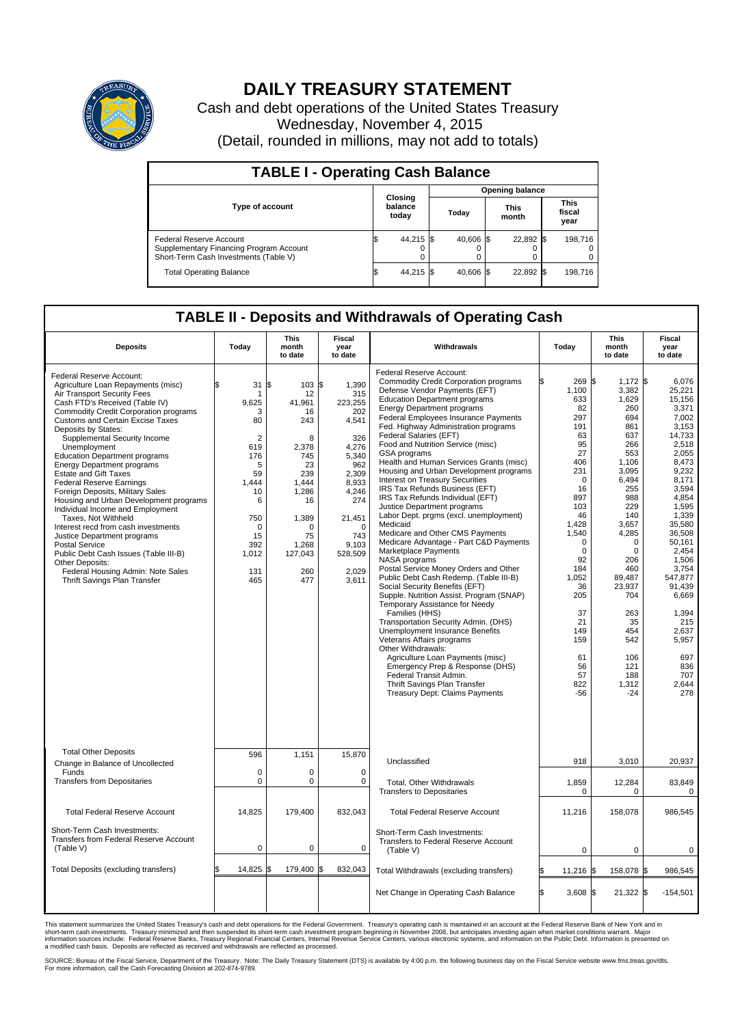

## **DAILY TREASURY STATEMENT**

Cash and debt operations of the United States Treasury Wednesday, November 4, 2015 (Detail, rounded in millions, may not add to totals)

| <b>TABLE I - Operating Cash Balance</b>                                                                     |  |                             |  |                        |  |                      |  |                               |  |  |  |
|-------------------------------------------------------------------------------------------------------------|--|-----------------------------|--|------------------------|--|----------------------|--|-------------------------------|--|--|--|
|                                                                                                             |  |                             |  | <b>Opening balance</b> |  |                      |  |                               |  |  |  |
| <b>Type of account</b>                                                                                      |  | Closing<br>balance<br>today |  | Today                  |  | <b>This</b><br>month |  | <b>This</b><br>fiscal<br>year |  |  |  |
| Federal Reserve Account<br>Supplementary Financing Program Account<br>Short-Term Cash Investments (Table V) |  | 44,215 \$                   |  | 40.606 \$              |  | 22,892 \$            |  | 198,716                       |  |  |  |
| <b>Total Operating Balance</b>                                                                              |  | 44,215 \$                   |  | 40.606 \$              |  | 22,892 \$            |  | 198,716                       |  |  |  |

## **TABLE II - Deposits and Withdrawals of Operating Cash**

| <b>Deposits</b>                                                                                                                                                                                                                                                                                                                                                                                                                                                                                                                                                                                                                                                                                                                                                                                                     | Today                                                                                                                                                 | <b>This</b><br>month<br>to date                                                                                                                          | <b>Fiscal</b><br>year<br>to date                                                                                                                                             | Withdrawals                                                                                                                                                                                                                                                                                                                                                                                                                                                                                                                                                                                                                                                                                                                                                                                                                                                                                                                                                                                                                                                                                                                                                                                                                                                                                               | Today                                                                                                                                                                                                                                                                   | This<br>month<br>to date                                                                                                                                                                                                                                                       | <b>Fiscal</b><br>year<br>to date                                                                                                                                                                                                                                                                              |  |
|---------------------------------------------------------------------------------------------------------------------------------------------------------------------------------------------------------------------------------------------------------------------------------------------------------------------------------------------------------------------------------------------------------------------------------------------------------------------------------------------------------------------------------------------------------------------------------------------------------------------------------------------------------------------------------------------------------------------------------------------------------------------------------------------------------------------|-------------------------------------------------------------------------------------------------------------------------------------------------------|----------------------------------------------------------------------------------------------------------------------------------------------------------|------------------------------------------------------------------------------------------------------------------------------------------------------------------------------|-----------------------------------------------------------------------------------------------------------------------------------------------------------------------------------------------------------------------------------------------------------------------------------------------------------------------------------------------------------------------------------------------------------------------------------------------------------------------------------------------------------------------------------------------------------------------------------------------------------------------------------------------------------------------------------------------------------------------------------------------------------------------------------------------------------------------------------------------------------------------------------------------------------------------------------------------------------------------------------------------------------------------------------------------------------------------------------------------------------------------------------------------------------------------------------------------------------------------------------------------------------------------------------------------------------|-------------------------------------------------------------------------------------------------------------------------------------------------------------------------------------------------------------------------------------------------------------------------|--------------------------------------------------------------------------------------------------------------------------------------------------------------------------------------------------------------------------------------------------------------------------------|---------------------------------------------------------------------------------------------------------------------------------------------------------------------------------------------------------------------------------------------------------------------------------------------------------------|--|
| Federal Reserve Account:<br>Agriculture Loan Repayments (misc)<br>Air Transport Security Fees<br>Cash FTD's Received (Table IV)<br><b>Commodity Credit Corporation programs</b><br><b>Customs and Certain Excise Taxes</b><br>Deposits by States:<br>Supplemental Security Income<br>Unemployment<br><b>Education Department programs</b><br><b>Energy Department programs</b><br><b>Estate and Gift Taxes</b><br><b>Federal Reserve Earnings</b><br>Foreign Deposits, Military Sales<br>Housing and Urban Development programs<br>Individual Income and Employment<br>Taxes. Not Withheld<br>Interest recd from cash investments<br>Justice Department programs<br>Postal Service<br>Public Debt Cash Issues (Table III-B)<br>Other Deposits:<br>Federal Housing Admin: Note Sales<br>Thrift Savings Plan Transfer | \$<br>31<br>9.625<br>3<br>80<br>$\overline{2}$<br>619<br>176<br>5<br>59<br>1.444<br>10<br>6<br>750<br>$\mathbf 0$<br>15<br>392<br>1,012<br>131<br>465 | l\$<br>103S<br>12<br>41,961<br>16<br>243<br>8<br>2.378<br>745<br>23<br>239<br>1.444<br>1,286<br>16<br>1,389<br>n<br>75<br>1,268<br>127,043<br>260<br>477 | 1.390<br>315<br>223,255<br>202<br>4,541<br>326<br>4.276<br>5,340<br>962<br>2,309<br>8,933<br>4,246<br>274<br>21,451<br>$\Omega$<br>743<br>9,103<br>528,509<br>2,029<br>3,611 | Federal Reserve Account:<br><b>Commodity Credit Corporation programs</b><br>Defense Vendor Payments (EFT)<br><b>Education Department programs</b><br><b>Energy Department programs</b><br><b>Federal Employees Insurance Payments</b><br>Fed. Highway Administration programs<br>Federal Salaries (EFT)<br>Food and Nutrition Service (misc)<br><b>GSA</b> programs<br>Health and Human Services Grants (misc)<br>Housing and Urban Development programs<br>Interest on Treasury Securities<br>IRS Tax Refunds Business (EFT)<br>IRS Tax Refunds Individual (EFT)<br>Justice Department programs<br>Labor Dept. prgms (excl. unemployment)<br>Medicaid<br>Medicare and Other CMS Payments<br>Medicare Advantage - Part C&D Payments<br>Marketplace Payments<br>NASA programs<br>Postal Service Money Orders and Other<br>Public Debt Cash Redemp. (Table III-B)<br>Social Security Benefits (EFT)<br>Supple. Nutrition Assist. Program (SNAP)<br>Temporary Assistance for Needy<br>Families (HHS)<br>Transportation Security Admin. (DHS)<br>Unemployment Insurance Benefits<br>Veterans Affairs programs<br>Other Withdrawals:<br>Agriculture Loan Payments (misc)<br>Emergency Prep & Response (DHS)<br>Federal Transit Admin.<br>Thrift Savings Plan Transfer<br><b>Treasury Dept: Claims Payments</b> | 269 \$<br>ß<br>1,100<br>633<br>82<br>297<br>191<br>63<br>95<br>27<br>406<br>231<br>$\mathbf 0$<br>16<br>897<br>103<br>46<br>1,428<br>1,540<br>$\mathbf 0$<br>$\mathbf 0$<br>92<br>184<br>1,052<br>36<br>205<br>37<br>21<br>149<br>159<br>61<br>56<br>57<br>822<br>$-56$ | $1,172$ \$<br>3,382<br>1,629<br>260<br>694<br>861<br>637<br>266<br>553<br>1,106<br>3,095<br>6,494<br>255<br>988<br>229<br>140<br>3.657<br>4,285<br>0<br>$\mathbf 0$<br>206<br>460<br>89,487<br>23,937<br>704<br>263<br>35<br>454<br>542<br>106<br>121<br>188<br>1,312<br>$-24$ | 6,076<br>25,221<br>15,156<br>3,371<br>7,002<br>3,153<br>14,733<br>2,518<br>2.055<br>8,473<br>9,232<br>8,171<br>3,594<br>4,854<br>1,595<br>1,339<br>35,580<br>36,508<br>50,161<br>2,454<br>1,506<br>3,754<br>547,877<br>91.439<br>6,669<br>1,394<br>215<br>2,637<br>5,957<br>697<br>836<br>707<br>2,644<br>278 |  |
| <b>Total Other Deposits</b><br>Change in Balance of Uncollected                                                                                                                                                                                                                                                                                                                                                                                                                                                                                                                                                                                                                                                                                                                                                     | 596                                                                                                                                                   | 1,151                                                                                                                                                    | 15,870                                                                                                                                                                       | Unclassified                                                                                                                                                                                                                                                                                                                                                                                                                                                                                                                                                                                                                                                                                                                                                                                                                                                                                                                                                                                                                                                                                                                                                                                                                                                                                              | 918                                                                                                                                                                                                                                                                     | 3,010                                                                                                                                                                                                                                                                          | 20,937                                                                                                                                                                                                                                                                                                        |  |
| Funds<br><b>Transfers from Depositaries</b>                                                                                                                                                                                                                                                                                                                                                                                                                                                                                                                                                                                                                                                                                                                                                                         | $\mathbf 0$<br>$\mathbf 0$                                                                                                                            | 0<br>0                                                                                                                                                   | $\mathbf 0$<br>$\mathbf 0$                                                                                                                                                   | Total, Other Withdrawals<br><b>Transfers to Depositaries</b>                                                                                                                                                                                                                                                                                                                                                                                                                                                                                                                                                                                                                                                                                                                                                                                                                                                                                                                                                                                                                                                                                                                                                                                                                                              | 1,859<br>$\mathbf 0$                                                                                                                                                                                                                                                    | 12,284<br>$\Omega$                                                                                                                                                                                                                                                             | 83,849<br>$\mathbf 0$                                                                                                                                                                                                                                                                                         |  |
| <b>Total Federal Reserve Account</b>                                                                                                                                                                                                                                                                                                                                                                                                                                                                                                                                                                                                                                                                                                                                                                                | 14,825                                                                                                                                                | 179,400                                                                                                                                                  | 832,043                                                                                                                                                                      | <b>Total Federal Reserve Account</b>                                                                                                                                                                                                                                                                                                                                                                                                                                                                                                                                                                                                                                                                                                                                                                                                                                                                                                                                                                                                                                                                                                                                                                                                                                                                      | 11,216                                                                                                                                                                                                                                                                  | 158,078                                                                                                                                                                                                                                                                        | 986,545                                                                                                                                                                                                                                                                                                       |  |
| Short-Term Cash Investments:<br>Transfers from Federal Reserve Account<br>(Table V)                                                                                                                                                                                                                                                                                                                                                                                                                                                                                                                                                                                                                                                                                                                                 | $\pmb{0}$                                                                                                                                             | 0                                                                                                                                                        | 0                                                                                                                                                                            | Short-Term Cash Investments:<br>Transfers to Federal Reserve Account<br>(Table V)                                                                                                                                                                                                                                                                                                                                                                                                                                                                                                                                                                                                                                                                                                                                                                                                                                                                                                                                                                                                                                                                                                                                                                                                                         | 0                                                                                                                                                                                                                                                                       | 0                                                                                                                                                                                                                                                                              | 0                                                                                                                                                                                                                                                                                                             |  |
| Total Deposits (excluding transfers)                                                                                                                                                                                                                                                                                                                                                                                                                                                                                                                                                                                                                                                                                                                                                                                | 14,825                                                                                                                                                | 179,400                                                                                                                                                  | \$<br>832,043                                                                                                                                                                | Total Withdrawals (excluding transfers)                                                                                                                                                                                                                                                                                                                                                                                                                                                                                                                                                                                                                                                                                                                                                                                                                                                                                                                                                                                                                                                                                                                                                                                                                                                                   | $11,216$ \$                                                                                                                                                                                                                                                             | 158,078 \$                                                                                                                                                                                                                                                                     | 986,545                                                                                                                                                                                                                                                                                                       |  |
|                                                                                                                                                                                                                                                                                                                                                                                                                                                                                                                                                                                                                                                                                                                                                                                                                     |                                                                                                                                                       |                                                                                                                                                          |                                                                                                                                                                              | Net Change in Operating Cash Balance                                                                                                                                                                                                                                                                                                                                                                                                                                                                                                                                                                                                                                                                                                                                                                                                                                                                                                                                                                                                                                                                                                                                                                                                                                                                      | l\$<br>$3,608$ \$                                                                                                                                                                                                                                                       | $21,322$ \$                                                                                                                                                                                                                                                                    | $-154,501$                                                                                                                                                                                                                                                                                                    |  |

This statement summarizes the United States Treasury's cash and debt operations for the Federal Government. Treasury's operating cash is maintained in an account at the Federal Reserve Bank of New York and in<br>short-term ca

SOURCE: Bureau of the Fiscal Service, Department of the Treasury. Note: The Daily Treasury Statement (DTS) is available by 4:00 p.m. the following business day on the Fiscal Service website www.fms.treas.gov/dts.<br>For more